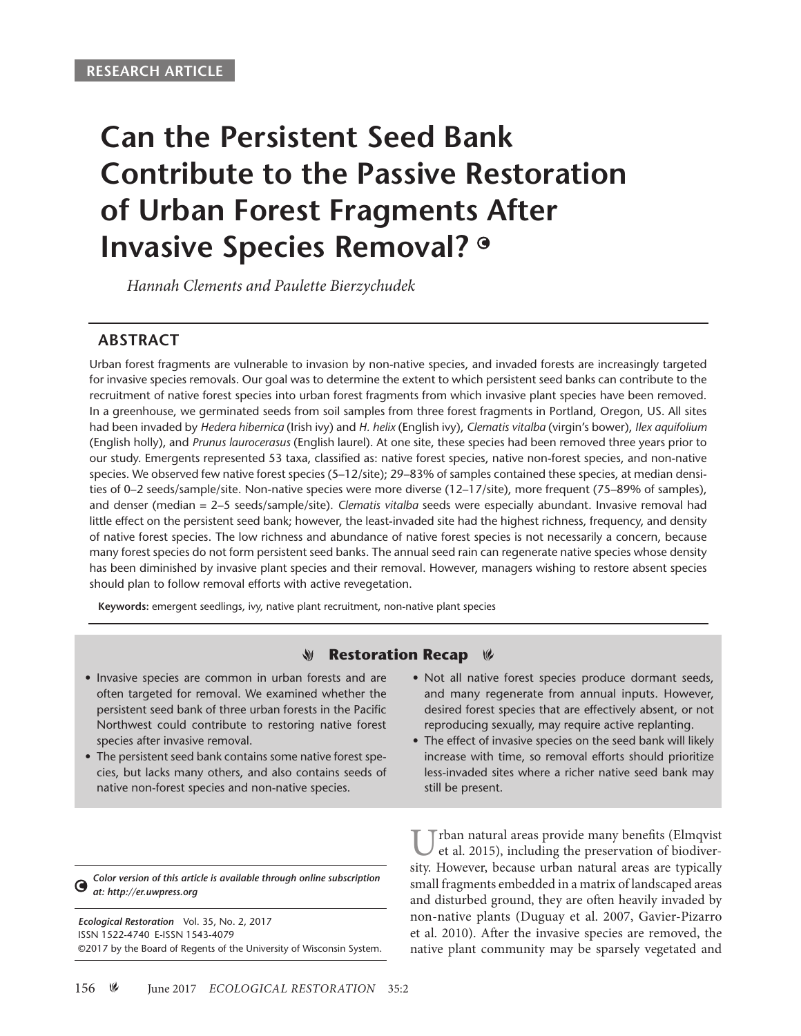# **Can the Persistent Seed Bank Contribute to the Passive Restoration of Urban Forest Fragments After Invasive Species Removal?**

*Hannah Clements and Paulette Bierzychudek*

# **ABSTRACT**

Urban forest fragments are vulnerable to invasion by non-native species, and invaded forests are increasingly targeted for invasive species removals. Our goal was to determine the extent to which persistent seed banks can contribute to the recruitment of native forest species into urban forest fragments from which invasive plant species have been removed. In a greenhouse, we germinated seeds from soil samples from three forest fragments in Portland, Oregon, US. All sites had been invaded by *Hedera hibernica* (Irish ivy) and *H. helix* (English ivy), *Clematis vitalba* (virgin's bower), *Ilex aquifolium* (English holly), and *Prunus laurocerasus* (English laurel). At one site, these species had been removed three years prior to our study. Emergents represented 53 taxa, classified as: native forest species, native non-forest species, and non-native species. We observed few native forest species (5–12/site); 29–83% of samples contained these species, at median densities of 0–2 seeds/sample/site. Non-native species were more diverse (12–17/site), more frequent (75–89% of samples), and denser (median = 2–5 seeds/sample/site). *Clematis vitalba* seeds were especially abundant. Invasive removal had little effect on the persistent seed bank; however, the least-invaded site had the highest richness, frequency, and density of native forest species. The low richness and abundance of native forest species is not necessarily a concern, because many forest species do not form persistent seed banks. The annual seed rain can regenerate native species whose density has been diminished by invasive plant species and their removal. However, managers wishing to restore absent species should plan to follow removal efforts with active revegetation.

**Keywords:** emergent seedlings, ivy, native plant recruitment, non-native plant species

#### V **Restoration Recap**  $\mathscr V$

- Invasive species are common in urban forests and are often targeted for removal. We examined whether the persistent seed bank of three urban forests in the Pacific Northwest could contribute to restoring native forest species after invasive removal.
- The persistent seed bank contains some native forest species, but lacks many others, and also contains seeds of native non-forest species and non-native species.
- Not all native forest species produce dormant seeds, and many regenerate from annual inputs. However, desired forest species that are effectively absent, or not reproducing sexually, may require active replanting.
- The effect of invasive species on the seed bank will likely increase with time, so removal efforts should prioritize less-invaded sites where a richer native seed bank may still be present.

*Color version of this article is available through online subscription*  ◑ *at: http://er.uwpress.org*

*Ecological Restoration* Vol. 35, No. 2, 2017 ISSN 1522-4740 E-ISSN 1543-4079 ©2017 by the Board of Regents of the University of Wisconsin System.

Urban natural areas provide many benefits (Elmqvist)<br>et al. 2015), including the preservation of biodiversity. However, because urban natural areas are typically small fragments embedded in a matrix of landscaped areas and disturbed ground, they are often heavily invaded by non-native plants (Duguay et al. 2007, Gavier-Pizarro et al. 2010). After the invasive species are removed, the native plant community may be sparsely vegetated and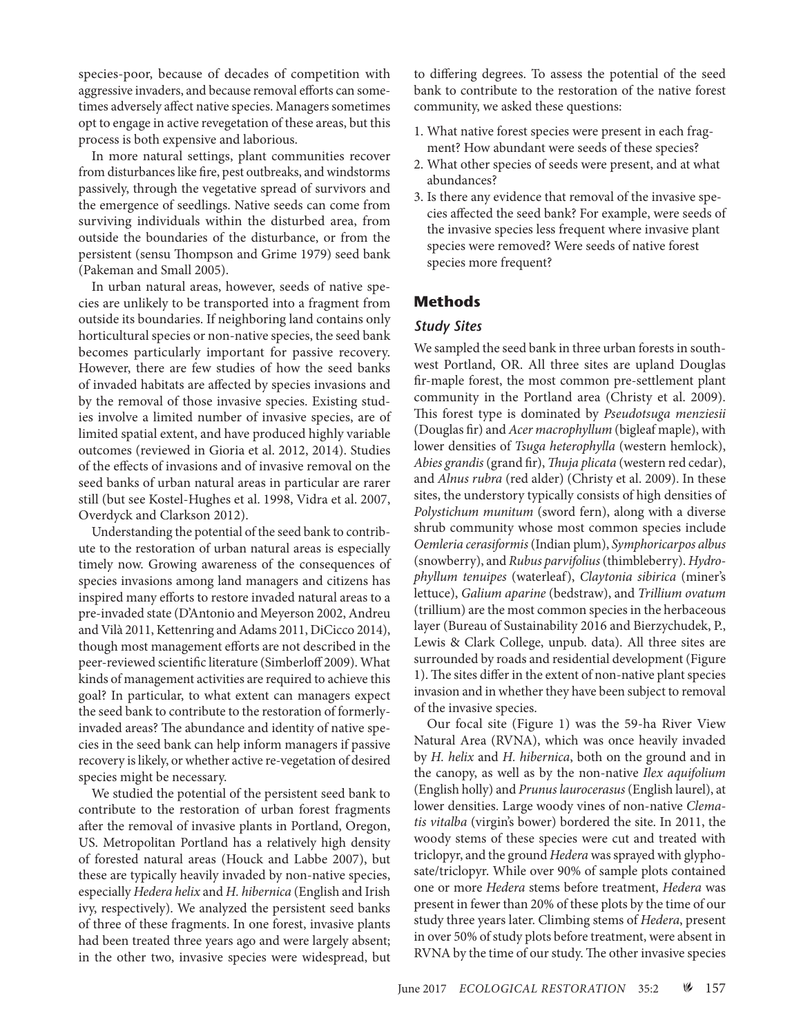species-poor, because of decades of competition with aggressive invaders, and because removal efforts can sometimes adversely affect native species. Managers sometimes opt to engage in active revegetation of these areas, but this process is both expensive and laborious.

In more natural settings, plant communities recover from disturbances like fire, pest outbreaks, and windstorms passively, through the vegetative spread of survivors and the emergence of seedlings. Native seeds can come from surviving individuals within the disturbed area, from outside the boundaries of the disturbance, or from the persistent (sensu Thompson and Grime 1979) seed bank (Pakeman and Small 2005).

In urban natural areas, however, seeds of native species are unlikely to be transported into a fragment from outside its boundaries. If neighboring land contains only horticultural species or non-native species, the seed bank becomes particularly important for passive recovery. However, there are few studies of how the seed banks of invaded habitats are affected by species invasions and by the removal of those invasive species. Existing studies involve a limited number of invasive species, are of limited spatial extent, and have produced highly variable outcomes (reviewed in Gioria et al. 2012, 2014). Studies of the effects of invasions and of invasive removal on the seed banks of urban natural areas in particular are rarer still (but see Kostel-Hughes et al. 1998, Vidra et al. 2007, Overdyck and Clarkson 2012).

Understanding the potential of the seed bank to contribute to the restoration of urban natural areas is especially timely now. Growing awareness of the consequences of species invasions among land managers and citizens has inspired many efforts to restore invaded natural areas to a pre-invaded state (D'Antonio and Meyerson 2002, Andreu and Vilà 2011, Kettenring and Adams 2011, DiCicco 2014), though most management efforts are not described in the peer-reviewed scientific literature (Simberloff 2009). What kinds of management activities are required to achieve this goal? In particular, to what extent can managers expect the seed bank to contribute to the restoration of formerlyinvaded areas? The abundance and identity of native species in the seed bank can help inform managers if passive recovery is likely, or whether active re-vegetation of desired species might be necessary.

We studied the potential of the persistent seed bank to contribute to the restoration of urban forest fragments after the removal of invasive plants in Portland, Oregon, US. Metropolitan Portland has a relatively high density of forested natural areas (Houck and Labbe 2007), but these are typically heavily invaded by non-native species, especially *Hedera helix* and *H. hibernica* (English and Irish ivy, respectively). We analyzed the persistent seed banks of three of these fragments. In one forest, invasive plants had been treated three years ago and were largely absent; in the other two, invasive species were widespread, but to differing degrees. To assess the potential of the seed bank to contribute to the restoration of the native forest community, we asked these questions:

- 1. What native forest species were present in each fragment? How abundant were seeds of these species?
- 2. What other species of seeds were present, and at what abundances?
- 3. Is there any evidence that removal of the invasive species affected the seed bank? For example, were seeds of the invasive species less frequent where invasive plant species were removed? Were seeds of native forest species more frequent?

### **Methods**

#### *Study Sites*

We sampled the seed bank in three urban forests in southwest Portland, OR. All three sites are upland Douglas fir-maple forest, the most common pre-settlement plant community in the Portland area (Christy et al. 2009). This forest type is dominated by *Pseudotsuga menziesii* (Douglas fir) and *Acer macrophyllum* (bigleaf maple), with lower densities of *Tsuga heterophylla* (western hemlock), *Abies grandis* (grand fir), *Thuja plicata* (western red cedar), and *Alnus rubra* (red alder) (Christy et al. 2009). In these sites, the understory typically consists of high densities of *Polystichum munitum* (sword fern), along with a diverse shrub community whose most common species include *Oemleria cerasiformis* (Indian plum), *Symphoricarpos albus* (snowberry), and *Rubus parvifolius* (thimbleberry). *Hydrophyllum tenuipes* (waterleaf), *Claytonia sibirica* (miner's lettuce), *Galium aparine* (bedstraw), and *Trillium ovatum* (trillium) are the most common species in the herbaceous layer (Bureau of Sustainability 2016 and Bierzychudek, P., Lewis & Clark College, unpub. data). All three sites are surrounded by roads and residential development (Figure 1). The sites differ in the extent of non-native plant species invasion and in whether they have been subject to removal of the invasive species.

Our focal site (Figure 1) was the 59-ha River View Natural Area (RVNA), which was once heavily invaded by *H. helix* and *H. hibernica*, both on the ground and in the canopy, as well as by the non-native *Ilex aquifolium*  (English holly) and *Prunus laurocerasus* (English laurel), at lower densities. Large woody vines of non-native *Clematis vitalba* (virgin's bower) bordered the site. In 2011, the woody stems of these species were cut and treated with triclopyr, and the ground *Hedera* was sprayed with glyphosate/triclopyr. While over 90% of sample plots contained one or more *Hedera* stems before treatment, *Hedera* was present in fewer than 20% of these plots by the time of our study three years later. Climbing stems of *Hedera*, present in over 50% of study plots before treatment, were absent in RVNA by the time of our study. The other invasive species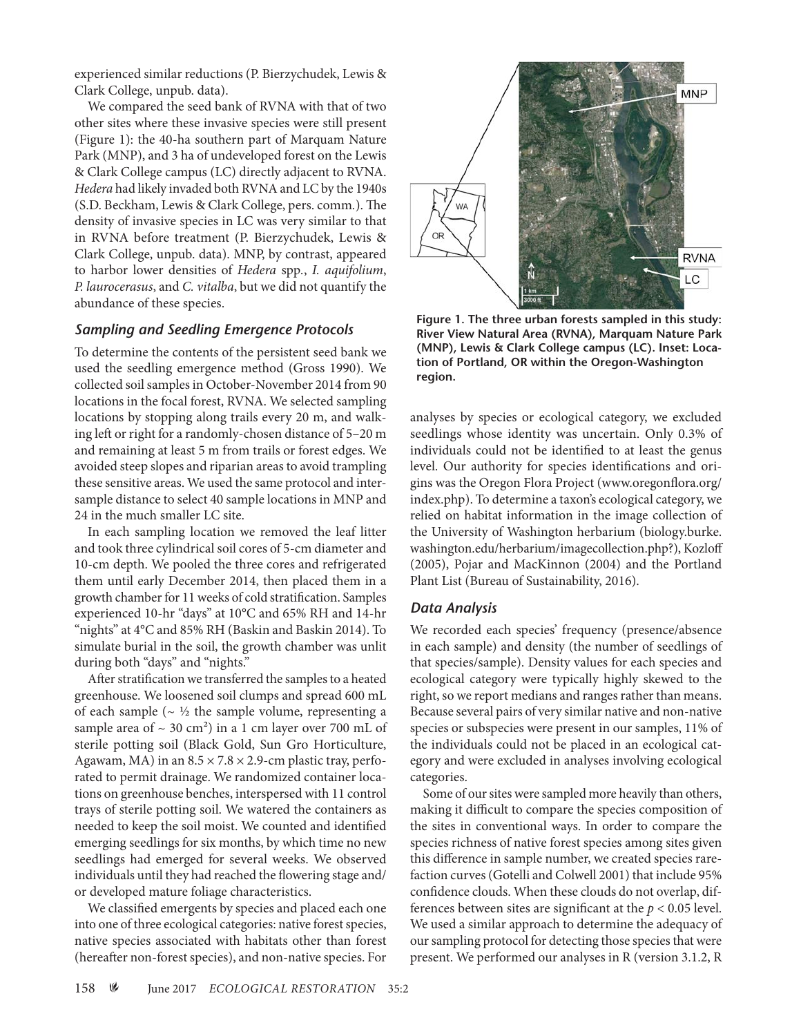experienced similar reductions (P. Bierzychudek, Lewis & Clark College, unpub. data).

We compared the seed bank of RVNA with that of two other sites where these invasive species were still present (Figure 1): the 40-ha southern part of Marquam Nature Park (MNP), and 3 ha of undeveloped forest on the Lewis & Clark College campus (LC) directly adjacent to RVNA. *Hedera* had likely invaded both RVNA and LC by the 1940s (S.D. Beckham, Lewis & Clark College, pers. comm*.*). The density of invasive species in LC was very similar to that in RVNA before treatment (P. Bierzychudek, Lewis & Clark College, unpub. data). MNP, by contrast, appeared to harbor lower densities of *Hedera* spp*.*, *I. aquifolium*, *P. laurocerasus*, and *C. vitalba*, but we did not quantify the abundance of these species.

### *Sampling and Seedling Emergence Protocols*

To determine the contents of the persistent seed bank we used the seedling emergence method (Gross 1990). We collected soil samples in October-November 2014 from 90 locations in the focal forest, RVNA. We selected sampling locations by stopping along trails every 20 m, and walking left or right for a randomly-chosen distance of 5–20 m and remaining at least 5 m from trails or forest edges. We avoided steep slopes and riparian areas to avoid trampling these sensitive areas. We used the same protocol and intersample distance to select 40 sample locations in MNP and 24 in the much smaller LC site.

In each sampling location we removed the leaf litter and took three cylindrical soil cores of 5-cm diameter and 10-cm depth. We pooled the three cores and refrigerated them until early December 2014, then placed them in a growth chamber for 11 weeks of cold stratification. Samples experienced 10-hr "days" at 10°C and 65% RH and 14-hr "nights" at 4°C and 85% RH (Baskin and Baskin 2014). To simulate burial in the soil, the growth chamber was unlit during both "days" and "nights."

After stratification we transferred the samples to a heated greenhouse. We loosened soil clumps and spread 600 mL of each sample ( $\sim$  ½ the sample volume, representing a sample area of  $\sim$  30 cm<sup>2</sup>) in a 1 cm layer over 700 mL of sterile potting soil (Black Gold, Sun Gro Horticulture, Agawam, MA) in an  $8.5 \times 7.8 \times 2.9$ -cm plastic tray, perforated to permit drainage. We randomized container locations on greenhouse benches, interspersed with 11 control trays of sterile potting soil. We watered the containers as needed to keep the soil moist. We counted and identified emerging seedlings for six months, by which time no new seedlings had emerged for several weeks. We observed individuals until they had reached the flowering stage and/ or developed mature foliage characteristics.

We classified emergents by species and placed each one into one of three ecological categories: native forest species, native species associated with habitats other than forest (hereafter non-forest species), and non-native species. For



**Figure 1. The three urban forests sampled in this study: River View Natural Area (RVNA), Marquam Nature Park (MNP), Lewis & Clark College campus (LC). Inset: Location of Portland, OR within the Oregon-Washington region.**

analyses by species or ecological category, we excluded seedlings whose identity was uncertain. Only 0.3% of individuals could not be identified to at least the genus level. Our authority for species identifications and origins was the Oregon Flora Project (www.oregonflora.org/ index.php). To determine a taxon's ecological category, we relied on habitat information in the image collection of the University of Washington herbarium (biology.burke. washington.edu/herbarium/imagecollection.php?), Kozloff (2005), Pojar and MacKinnon (2004) and the Portland Plant List (Bureau of Sustainability, 2016).

#### *Data Analysis*

We recorded each species' frequency (presence/absence in each sample) and density (the number of seedlings of that species/sample). Density values for each species and ecological category were typically highly skewed to the right, so we report medians and ranges rather than means. Because several pairs of very similar native and non-native species or subspecies were present in our samples, 11% of the individuals could not be placed in an ecological category and were excluded in analyses involving ecological categories.

Some of our sites were sampled more heavily than others, making it difficult to compare the species composition of the sites in conventional ways. In order to compare the species richness of native forest species among sites given this difference in sample number, we created species rarefaction curves (Gotelli and Colwell 2001) that include 95% confidence clouds. When these clouds do not overlap, differences between sites are significant at the *p* < 0.05 level. We used a similar approach to determine the adequacy of our sampling protocol for detecting those species that were present. We performed our analyses in R (version 3.1.2, R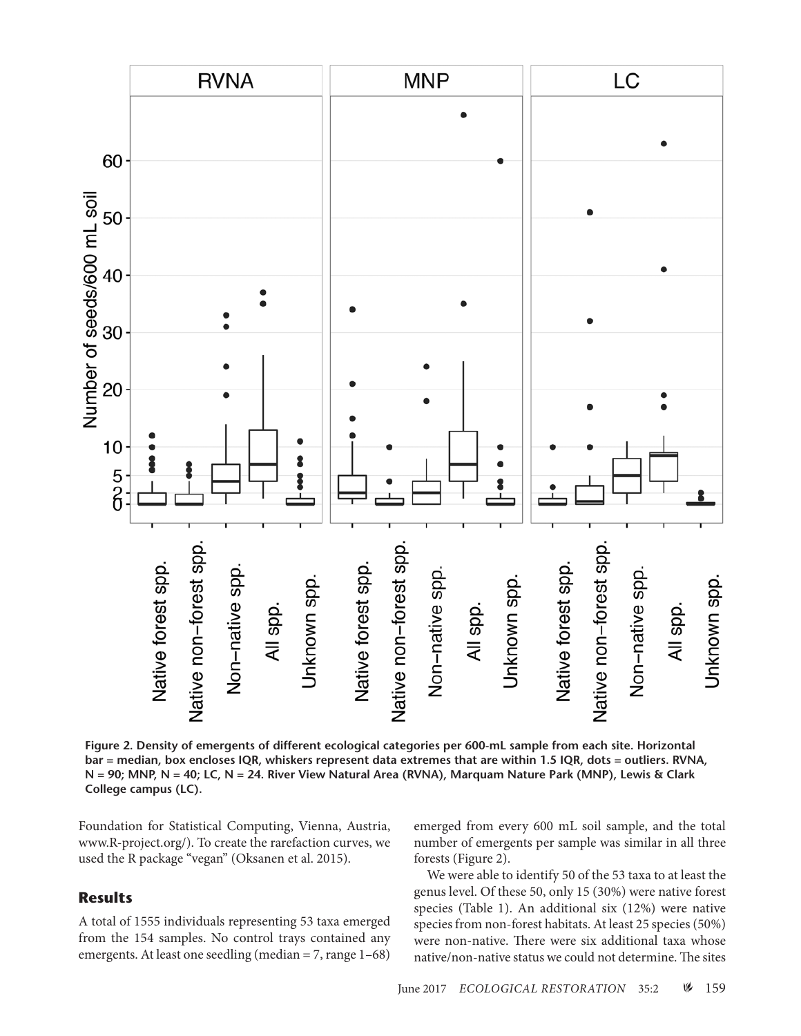

**Figure 2. Density of emergents of different ecological categories per 600-mL sample from each site. Horizontal bar = median, box encloses IQR, whiskers represent data extremes that are within 1.5 IQR, dots = outliers. RVNA, N = 90; MNP, N = 40; LC, N = 24. River View Natural Area (RVNA), Marquam Nature Park (MNP), Lewis & Clark College campus (LC).**

Foundation for Statistical Computing, Vienna, Austria, www.R-project.org/). To create the rarefaction curves, we used the R package "vegan" (Oksanen et al. 2015).

## **Results**

A total of 1555 individuals representing 53 taxa emerged from the 154 samples. No control trays contained any emergents. At least one seedling (median = 7, range 1–68) emerged from every 600 mL soil sample, and the total number of emergents per sample was similar in all three forests (Figure 2).

We were able to identify 50 of the 53 taxa to at least the genus level. Of these 50, only 15 (30%) were native forest species (Table 1). An additional six (12%) were native species from non-forest habitats. At least 25 species (50%) were non-native. There were six additional taxa whose native/non-native status we could not determine. The sites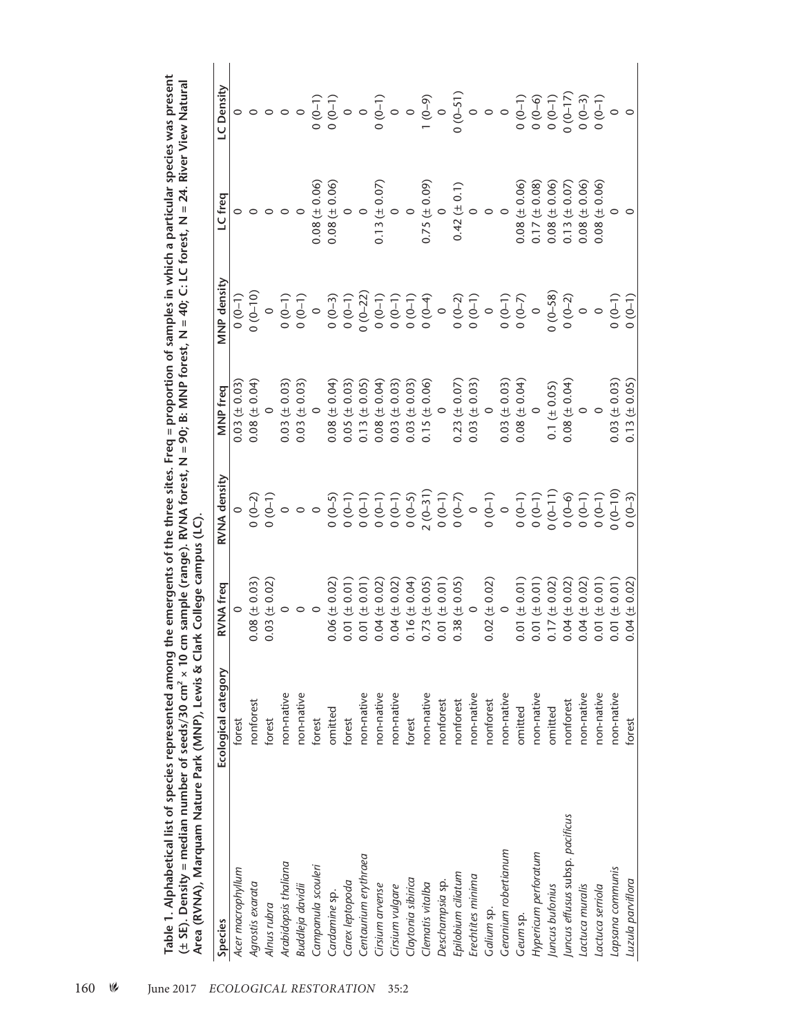| Species                         | Ecological category | <b>RVNA</b> freq                                | RVNA density         | MNP freq               | <b>MNP</b> density                               | LC freq                | LC Density          |
|---------------------------------|---------------------|-------------------------------------------------|----------------------|------------------------|--------------------------------------------------|------------------------|---------------------|
| Acer macrophyllum               | forest              |                                                 |                      | $0.03 (\pm 0.03)$      | $(0-1)$                                          |                        |                     |
| Agrostis exarata                | nonforest           | $0.08 (\pm 0.03)$                               | $0(0-2)$             | $0.08 (\pm 0.04)$      | $(0 - 10)$                                       | $\circ$                |                     |
| Alnus rubra                     | forest              | 0.03(                                           |                      | $\circ$                | $\circ$                                          | $\circ$ $\circ$        |                     |
| Arabidopsis thaliana            | non-native          | $\begin{array}{c} (\pm\; 0.02)\\ 0 \end{array}$ | $(0 - 1)$<br>0 (0-1) | $0.03 (\pm 0.03)$      | $(0-1)$                                          |                        | $\circ \circ \circ$ |
| Buddleja davidii                | non-native          | $\circ$                                         | $\circ$              | $0.03 (\pm 0.03)$      | $0(0-1)$                                         | $\circ$                |                     |
| Campanula scouleri              | forest              | $\circ$                                         | $\circ$              | $\circ$                | $\circ$                                          | $0.08 (\pm 0.06)$      |                     |
| Cardamine sp.                   | omitted             | $0.06 (\pm 0.02)$                               | $(0-5)$              | $0.08 (\pm 0.04)$      | $0(0-3)$                                         |                        |                     |
| Carex leptopoda                 | forest              | (10.01)<br>0.01                                 | $(0 - 0)$            | $0.05 \ (\pm 0.03)$    | $(0 - 1)$                                        | $0.08 (\pm 0.06)$<br>0 |                     |
| Centaurium erythraea            | non-native          | (10.01)<br>0.01                                 | $(1-0)$ 0            | $0.13 (\pm 0.05)$      | $0(0-22)$                                        | $\circ$                |                     |
| Cirsium arvense                 | non-native          | (± 0.02)<br>0.04                                | $(1-0)$              | $0.08 (\pm 0.04)$      | $(0-1)$                                          | $0.13 (\pm 0.07)$      |                     |
| Cirsium vulgare                 | non-native          | $(\pm 0.02)$<br>0.04                            | $(0 - 1)$            | $0.03 (\pm 0.03)$      |                                                  |                        |                     |
| Claytonia sibirica              | forest              | (0.04)<br>0.16                                  | $0(0-5)$             | $0.03 \ (\pm 0.03)$    |                                                  | $\circ$                |                     |
| Clematis vitalba                | non-native          | (10.05)<br>0.73                                 | $2(0-31)$            | $0.15 (\pm 0.06)$<br>0 | $0 (0-1)$<br>$0 (0-1)$<br>$0 (0-4)$<br>$0 (0-4)$ | $0.75 (\pm 0.09)$<br>0 |                     |
| Deschampsia sp.                 | nonforest           | (10.01)<br>0.01                                 | $0(0-1)$             |                        |                                                  |                        |                     |
| Epilobium ciliatum              | nonforest           | $(\pm 0.05)$<br>0.38                            | $(0 - 0)$            | $0.23 (\pm 0.07)$      | $0(0-2)$                                         | $0.42 (\pm 0.1)$       |                     |
| Erechtites minima               | non-native          | $\circ$                                         | $\circ$              | $0.03 (\pm 0.03)$<br>0 | $0(0-1)$<br>0                                    | 0                      |                     |
| Galium sp.                      | nonforest           | $0.02 \ (\pm 0.02)$                             | $(0 - 1)$            |                        |                                                  | $\circ$                |                     |
| Geranium robertianum            | non-native          | $\circ$                                         | $\circ$              | $0.03 \ (\pm 0.03)$    | $(0-1)$                                          |                        |                     |
| Geum sp.                        | omitted             | $0.01 (\pm 0.01)$                               | $(0 - 1)$            | $0.08 (\pm 0.04)$      | $(0-7)$                                          | $0.08 (\pm 0.06)$      |                     |
| Hypericum perforatum            | non-native          | 0.01 (10.01)                                    | $(0 - 1)$            | $\circ$                | $\circ$                                          | $0.17 (\pm 0.08)$      |                     |
| Juncus bufonius                 | omitted             | $0.17 (\pm 0.02)$                               | $(0 - 11)$           | $0.1 (\pm 0.05)$       | $0(0-58)$                                        | $0.08 (\pm 0.06)$      |                     |
| Juncus effusus subsp. pacificus | nonforest           | $(\pm\ 0.02)$<br>0.04                           | $(0 - 6)$            | $0.08 (\pm 0.04)$<br>0 | $0(0-2)$                                         | $0.13 (\pm 0.07)$      |                     |
| Lactuca muralis                 | non-native          | $0.04 (\pm 0.02)$                               | $0(0-1)$             |                        |                                                  | $0.08 (\pm 0.06)$      |                     |
| Lactuca serriola                | non-native          | $0.01 (\pm 0.01)$                               | $(1-0)$              | $\circ$                | $\circ$                                          | $0.08 (\pm 0.06)$      | $(0 - 0)$           |
| Lapsana communis                | non-native          | $0.01 (= 0.01)$                                 | $(0 - 10)$           | $0.03 (\pm 0.03)$      | $(0 - 1)$                                        | $\circ$                |                     |
| Luzula parviflora               | forest              | $0.04 (\pm 0.02)$                               | $0(0-3)$             | $0.13 (\pm 0.05)$      | $0(0-1)$                                         | $\circ$                |                     |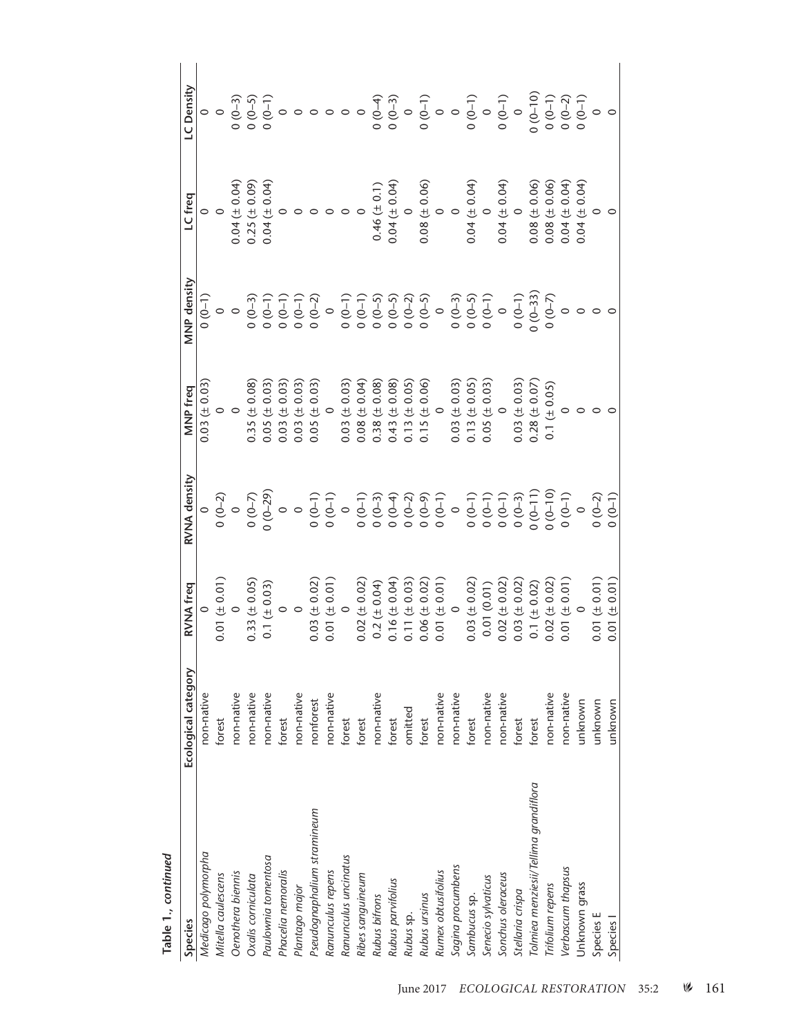| Species                               | Ecological category | RVNA freq         | RVNA density                                                          | MNP freq               | MNP density     | LC freq                     | LC Density |
|---------------------------------------|---------------------|-------------------|-----------------------------------------------------------------------|------------------------|-----------------|-----------------------------|------------|
| Medicago polymorpha                   | non-native          |                   |                                                                       | $0.03 \ (\pm 0.03)$    | $(1-0)$         |                             |            |
| Mitella caulescens                    | forest              | 0.01 (10.01)      |                                                                       | $\circ$                |                 | $\circ$                     |            |
| Oenothera biennis                     | non-native          |                   |                                                                       | $\circ$                | $\circ$ $\circ$ | $0.04 (\pm 0.04)$           |            |
| Oxalis corniculata                    | non-native          | $0.33 (\pm 0.05)$ |                                                                       | $0.35 (\pm 0.08)$      | $0(0-3)$        | $0.25 (\pm 0.09)$           |            |
| Paulownia tomentosa                   | non-native          | $0.1 ( \pm 0.03)$ | $0$<br>$0$ (0-2)<br>$0$ (0-7)<br>$0$ (0-29)<br>$0$ (0-1)<br>$0$ (0-1) | $0.05 \ (\pm 0.03)$    | $0(0-1)$        | $0.04 (\pm 0.04)$<br>0      |            |
| Phacelia nemoralis                    | forest              | $\circ$           |                                                                       | $0.03 (\pm 0.03)$      | $0(0-1)$        |                             |            |
| Plantago major                        | non-native          | $\circ$           |                                                                       | $0.03 (\pm 0.03)$      | $(1-0)$         |                             |            |
| Pseudognaphalium stramineum           | nonforest           | $0.03 (\pm 0.02)$ |                                                                       | $0.05 (\pm 0.03)$      | $0(0-2)$        |                             |            |
| Ranunculus repens                     | non-native          | $0.01 (= 0.01)$   |                                                                       | $\circ$                | $\circ$         |                             |            |
| Ranunculus uncinatus                  | forest              | $\circ$           |                                                                       | $0.03 (\pm 0.03)$      | $(1-0)$         |                             |            |
| Ribes sanguineum                      | forest              | $0.02 (\pm 0.02)$ | $\begin{array}{c} 0 \\ 0 \\ 0 \\ 0 \\ 0 \\ \hline \end{array}$        | $0.08 (\pm 0.04)$      | $(1-0)$         |                             |            |
| Rubus bifrons                         | non-native          | $0.2 (\pm 0.04)$  |                                                                       | $0.38 (\pm 0.08)$      | $(6-6)$         | $0.46 (\pm 0.1)$            |            |
| Rubus parvifolius                     | forest              | $0.16 (\pm 0.04)$ | $(6-4)$                                                               | $0.43 (\pm 0.08)$      | $(6-6)$         | $0.04 (\pm 0.04)$<br>0      |            |
| Rubus sp.                             | omitted             | $0.11 (\pm 0.03)$ | $0(0-2)$                                                              | $0.13 (\pm 0.05)$      | $0(0-2)$        |                             |            |
| Rubus ursinus                         | forest              | $0.06 (\pm 0.02)$ | $(6-0)$                                                               | $0.15 (\pm 0.06)$<br>0 | $(0-5)$         |                             |            |
| Rumex obtusifolius                    | non-native          | $0.01 (\pm 0.01)$ | $(0 - 1)$                                                             |                        | $\circ$         | $0.08 (\pm 0.06)$<br>0<br>0 |            |
| Sagina procumbens                     | non-native          |                   | $\circ$                                                               | $0.03 (\pm 0.03)$      | $0(0-3)$        |                             |            |
| Sambucus sp.                          | forest              | $0.03 (\pm 0.02)$ | $(0-1)$                                                               | $0.13 (\pm 0.05)$      | $0(0-5)$        | $0.04 (= 0.04)$             |            |
| Senecio sylvaticus                    | non-native          | 0.01(0.01)        | $0(0-1)$                                                              | $0.05 \ (\pm 0.03)$    | $(0 - 1)$       | $\circ$                     |            |
| Sonchus oleraceus                     | non-native          | $0.02 (\pm 0.02)$ | $(1-0)$                                                               | $\circ$                | $\circ$         | $0.04 (\pm 0.04)$<br>0      |            |
| Stellaria crispa                      | forest              | $0.03 (\pm 0.02)$ | $0(0-3)$                                                              | $0.03 \ (\pm 0.03)$    | $(0-1)$         |                             |            |
| Tolmiea menziesii/Tellima grandiflora | forest              | 0.1 (± 0.02)      | $0(0-11)$                                                             | $0.28 (\pm 0.07)$      | $0(0-33)$       | $0.08 (\pm 0.06)$           |            |
| Trifolium repens                      | non-native          | $0.02 (\pm 0.02)$ | $(0 - 10)$                                                            | $0.1 ( \pm 0.05)$      | $(0 - 7)$       | $0.08 (\pm 0.06)$           |            |
| Verbascum thapsus                     | non-native          | 0.01 (± 0.01)     | $(0 - 1)$                                                             |                        |                 | $0.04 (= 0.04)$             |            |
| Unknown grass                         | unknown             |                   | $\circ$                                                               |                        |                 | $0.04 (= 0.04)$             |            |
| Species E                             | unknown             | $0.01 (\pm 0.01)$ | $0(0-2)$                                                              | $\circ$                |                 | $\circ$                     |            |
| Species I                             | unknown             | 0.01 (10.01)      | $(0 - 1)$                                                             |                        |                 |                             |            |
|                                       |                     |                   |                                                                       |                        |                 |                             |            |

| ı.<br>۱<br>٢ |  |
|--------------|--|
|              |  |
|              |  |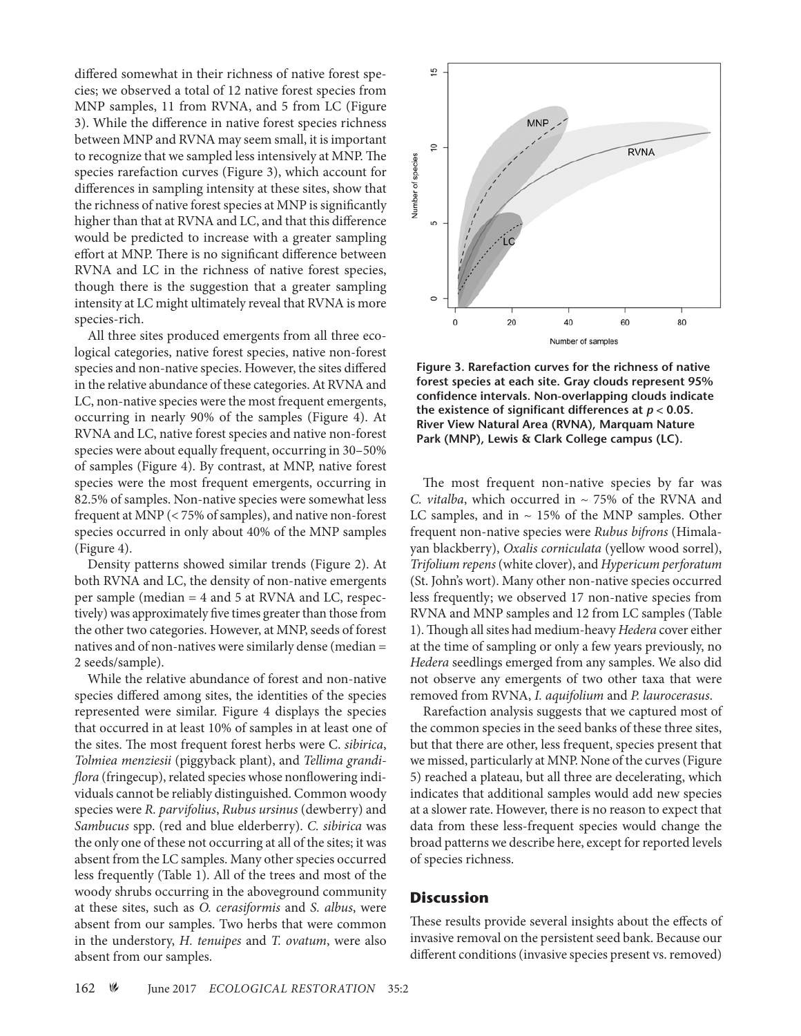differed somewhat in their richness of native forest species; we observed a total of 12 native forest species from MNP samples, 11 from RVNA, and 5 from LC (Figure 3). While the difference in native forest species richness between MNP and RVNA may seem small, it is important to recognize that we sampled less intensively at MNP. The species rarefaction curves (Figure 3), which account for differences in sampling intensity at these sites, show that the richness of native forest species at MNP is significantly higher than that at RVNA and LC, and that this difference would be predicted to increase with a greater sampling effort at MNP. There is no significant difference between RVNA and LC in the richness of native forest species, though there is the suggestion that a greater sampling intensity at LC might ultimately reveal that RVNA is more species-rich.

All three sites produced emergents from all three ecological categories, native forest species, native non-forest species and non-native species. However, the sites differed in the relative abundance of these categories. At RVNA and LC, non-native species were the most frequent emergents, occurring in nearly 90% of the samples (Figure 4). At RVNA and LC, native forest species and native non-forest species were about equally frequent, occurring in 30–50% of samples (Figure 4). By contrast, at MNP, native forest species were the most frequent emergents, occurring in 82.5% of samples. Non-native species were somewhat less frequent at MNP (< 75% of samples), and native non-forest species occurred in only about 40% of the MNP samples (Figure 4).

Density patterns showed similar trends (Figure 2). At both RVNA and LC, the density of non-native emergents per sample (median = 4 and 5 at RVNA and LC, respectively) was approximately five times greater than those from the other two categories. However, at MNP, seeds of forest natives and of non-natives were similarly dense (median = 2 seeds/sample).

While the relative abundance of forest and non-native species differed among sites, the identities of the species represented were similar. Figure 4 displays the species that occurred in at least 10% of samples in at least one of the sites. The most frequent forest herbs were C. *sibirica*, *Tolmiea menziesii* (piggyback plant), and *Tellima grandiflora* (fringecup), related species whose nonflowering individuals cannot be reliably distinguished. Common woody species were *R. parvifolius*, *Rubus ursinus* (dewberry) and *Sambucus* spp. (red and blue elderberry). *C. sibirica* was the only one of these not occurring at all of the sites; it was absent from the LC samples. Many other species occurred less frequently (Table 1). All of the trees and most of the woody shrubs occurring in the aboveground community at these sites, such as *O. cerasiformis* and *S. albus*, were absent from our samples. Two herbs that were common in the understory, *H. tenuipes* and *T. ovatum*, were also absent from our samples.



**Figure 3. Rarefaction curves for the richness of native forest species at each site. Gray clouds represent 95% confidence intervals. Non-overlapping clouds indicate the existence of significant differences at** *p* **< 0.05. River View Natural Area (RVNA), Marquam Nature Park (MNP), Lewis & Clark College campus (LC).**

The most frequent non-native species by far was *C. vitalba*, which occurred in ~ 75% of the RVNA and LC samples, and in  $\sim$  15% of the MNP samples. Other frequent non-native species were *Rubus bifrons* (Himalayan blackberry), *Oxalis corniculata* (yellow wood sorrel), *Trifolium repens* (white clover), and *Hypericum perforatum* (St. John's wort). Many other non-native species occurred less frequently; we observed 17 non-native species from RVNA and MNP samples and 12 from LC samples (Table 1). Though all sites had medium-heavy *Hedera* cover either at the time of sampling or only a few years previously, no *Hedera* seedlings emerged from any samples. We also did not observe any emergents of two other taxa that were removed from RVNA, *I. aquifolium* and *P. laurocerasus*.

Rarefaction analysis suggests that we captured most of the common species in the seed banks of these three sites, but that there are other, less frequent, species present that we missed, particularly at MNP. None of the curves (Figure 5) reached a plateau, but all three are decelerating, which indicates that additional samples would add new species at a slower rate. However, there is no reason to expect that data from these less-frequent species would change the broad patterns we describe here, except for reported levels of species richness.

#### **Discussion**

These results provide several insights about the effects of invasive removal on the persistent seed bank. Because our different conditions (invasive species present vs. removed)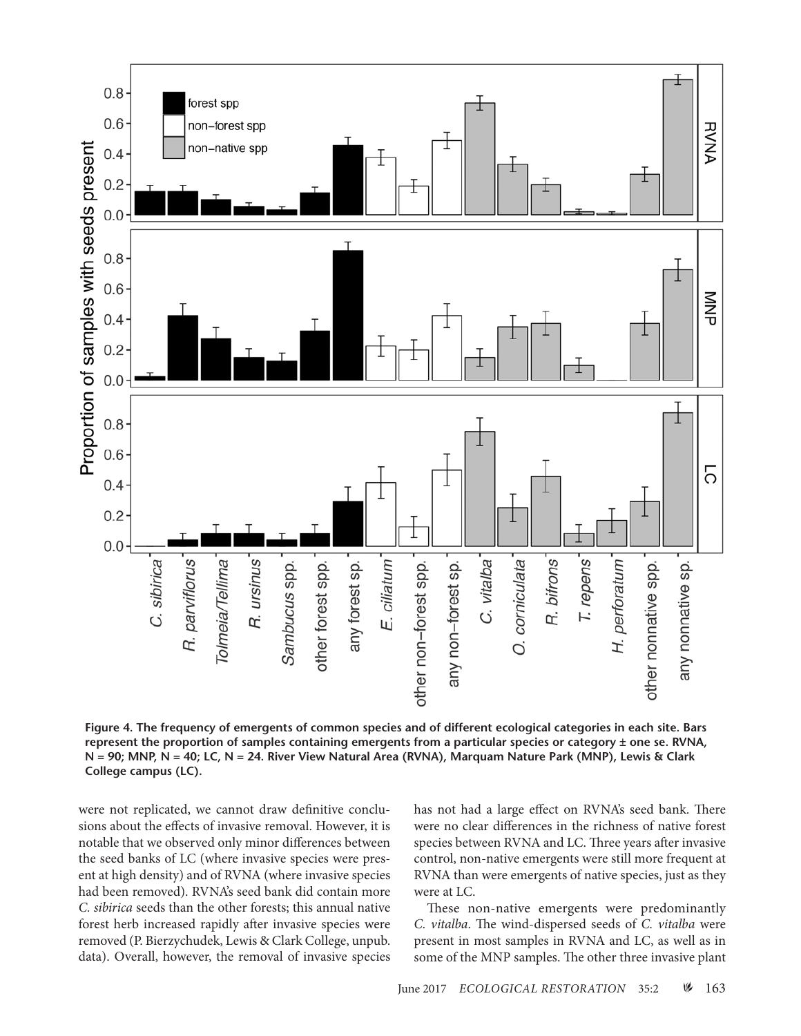

**Figure 4. The frequency of emergents of common species and of different ecological categories in each site. Bars represent the proportion of samples containing emergents from a particular species or category ± one se. RVNA, N = 90; MNP, N = 40; LC, N = 24. River View Natural Area (RVNA), Marquam Nature Park (MNP), Lewis & Clark College campus (LC).**

were not replicated, we cannot draw definitive conclusions about the effects of invasive removal. However, it is notable that we observed only minor differences between the seed banks of LC (where invasive species were present at high density) and of RVNA (where invasive species had been removed). RVNA's seed bank did contain more *C. sibirica* seeds than the other forests; this annual native forest herb increased rapidly after invasive species were removed (P. Bierzychudek, Lewis & Clark College, unpub. data). Overall, however, the removal of invasive species

has not had a large effect on RVNA's seed bank. There were no clear differences in the richness of native forest species between RVNA and LC. Three years after invasive control, non-native emergents were still more frequent at RVNA than were emergents of native species, just as they were at LC.

These non-native emergents were predominantly *C. vitalba*. The wind-dispersed seeds of *C. vitalba* were present in most samples in RVNA and LC, as well as in some of the MNP samples. The other three invasive plant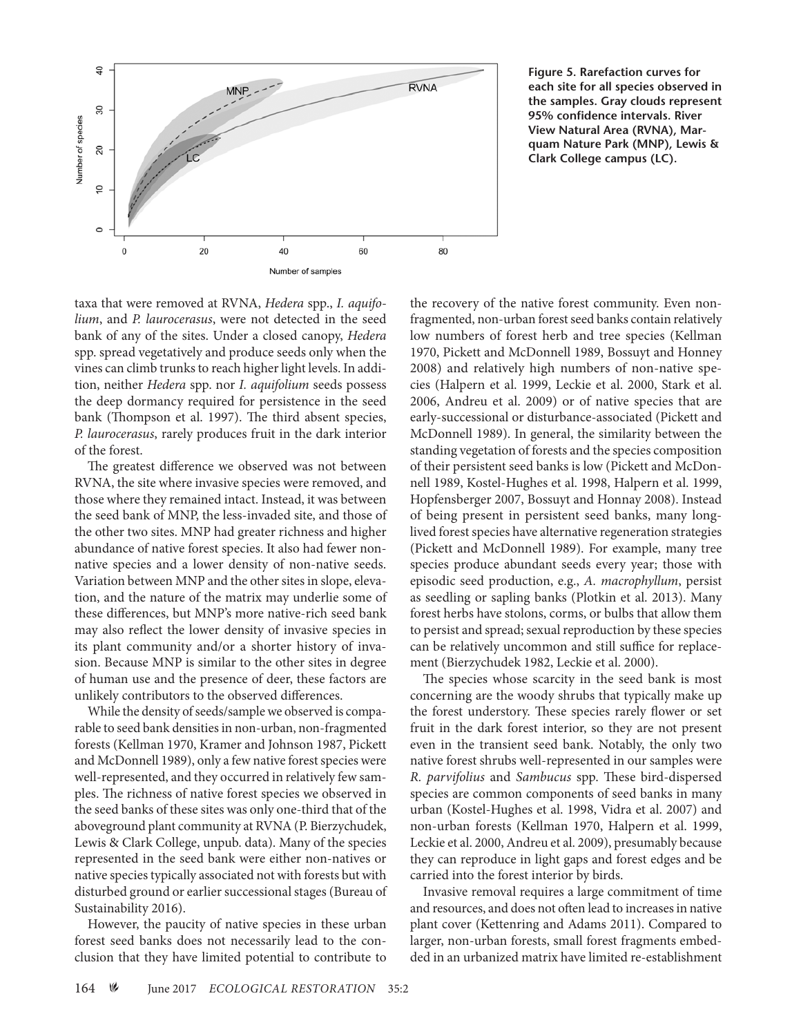

**Figure 5. Rarefaction curves for each site for all species observed in the samples. Gray clouds represent 95% confidence intervals. River View Natural Area (RVNA), Marquam Nature Park (MNP), Lewis & Clark College campus (LC).**

taxa that were removed at RVNA, *Hedera* spp., *I. aquifolium*, and *P. laurocerasus*, were not detected in the seed bank of any of the sites. Under a closed canopy, *Hedera* spp. spread vegetatively and produce seeds only when the vines can climb trunks to reach higher light levels. In addition, neither *Hedera* spp. nor *I. aquifolium* seeds possess the deep dormancy required for persistence in the seed bank (Thompson et al. 1997). The third absent species, *P. laurocerasus*, rarely produces fruit in the dark interior of the forest.

The greatest difference we observed was not between RVNA, the site where invasive species were removed, and those where they remained intact. Instead, it was between the seed bank of MNP, the less-invaded site, and those of the other two sites. MNP had greater richness and higher abundance of native forest species. It also had fewer nonnative species and a lower density of non-native seeds. Variation between MNP and the other sites in slope, elevation, and the nature of the matrix may underlie some of these differences, but MNP's more native-rich seed bank may also reflect the lower density of invasive species in its plant community and/or a shorter history of invasion. Because MNP is similar to the other sites in degree of human use and the presence of deer, these factors are unlikely contributors to the observed differences.

While the density of seeds/sample we observed is comparable to seed bank densities in non-urban, non-fragmented forests (Kellman 1970, Kramer and Johnson 1987, Pickett and McDonnell 1989), only a few native forest species were well-represented, and they occurred in relatively few samples. The richness of native forest species we observed in the seed banks of these sites was only one-third that of the aboveground plant community at RVNA (P. Bierzychudek, Lewis & Clark College, unpub. data). Many of the species represented in the seed bank were either non-natives or native species typically associated not with forests but with disturbed ground or earlier successional stages (Bureau of Sustainability 2016).

However, the paucity of native species in these urban forest seed banks does not necessarily lead to the conclusion that they have limited potential to contribute to

the recovery of the native forest community. Even nonfragmented, non-urban forest seed banks contain relatively low numbers of forest herb and tree species (Kellman 1970, Pickett and McDonnell 1989, Bossuyt and Honney 2008) and relatively high numbers of non-native species (Halpern et al. 1999, Leckie et al. 2000, Stark et al. 2006, Andreu et al. 2009) or of native species that are early-successional or disturbance-associated (Pickett and McDonnell 1989). In general, the similarity between the standing vegetation of forests and the species composition of their persistent seed banks is low (Pickett and McDonnell 1989, Kostel-Hughes et al. 1998, Halpern et al. 1999, Hopfensberger 2007, Bossuyt and Honnay 2008). Instead of being present in persistent seed banks, many longlived forest species have alternative regeneration strategies (Pickett and McDonnell 1989). For example, many tree species produce abundant seeds every year; those with episodic seed production, e.g., *A. macrophyllum*, persist as seedling or sapling banks (Plotkin et al. 2013). Many forest herbs have stolons, corms, or bulbs that allow them to persist and spread; sexual reproduction by these species can be relatively uncommon and still suffice for replacement (Bierzychudek 1982, Leckie et al. 2000).

The species whose scarcity in the seed bank is most concerning are the woody shrubs that typically make up the forest understory. These species rarely flower or set fruit in the dark forest interior, so they are not present even in the transient seed bank. Notably, the only two native forest shrubs well-represented in our samples were *R. parvifolius* and *Sambucus* spp. These bird-dispersed species are common components of seed banks in many urban (Kostel-Hughes et al. 1998, Vidra et al. 2007) and non-urban forests (Kellman 1970, Halpern et al. 1999, Leckie et al. 2000, Andreu et al. 2009), presumably because they can reproduce in light gaps and forest edges and be carried into the forest interior by birds.

Invasive removal requires a large commitment of time and resources, and does not often lead to increases in native plant cover (Kettenring and Adams 2011). Compared to larger, non-urban forests, small forest fragments embedded in an urbanized matrix have limited re-establishment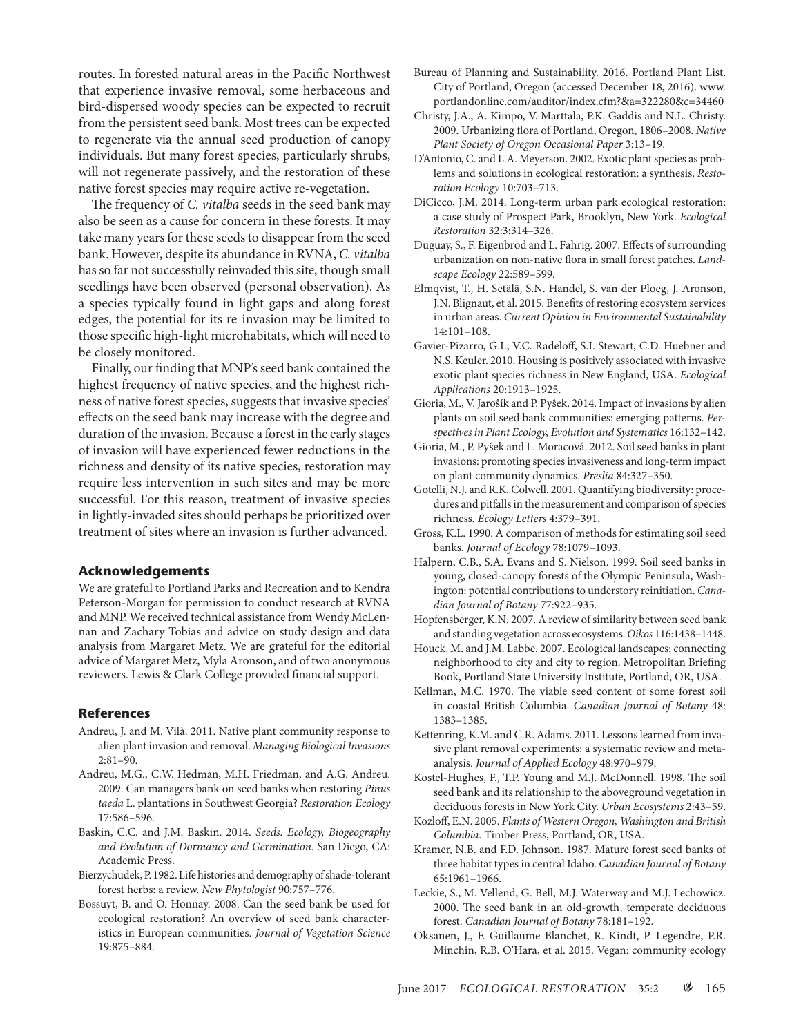routes. In forested natural areas in the Pacific Northwest that experience invasive removal, some herbaceous and bird-dispersed woody species can be expected to recruit from the persistent seed bank. Most trees can be expected to regenerate via the annual seed production of canopy individuals. But many forest species, particularly shrubs, will not regenerate passively, and the restoration of these native forest species may require active re-vegetation.

The frequency of *C. vitalba* seeds in the seed bank may also be seen as a cause for concern in these forests. It may take many years for these seeds to disappear from the seed bank. However, despite its abundance in RVNA, *C. vitalba* has so far not successfully reinvaded this site, though small seedlings have been observed (personal observation). As a species typically found in light gaps and along forest edges, the potential for its re-invasion may be limited to those specific high-light microhabitats, which will need to be closely monitored.

Finally, our finding that MNP's seed bank contained the highest frequency of native species, and the highest richness of native forest species, suggests that invasive species' effects on the seed bank may increase with the degree and duration of the invasion. Because a forest in the early stages of invasion will have experienced fewer reductions in the richness and density of its native species, restoration may require less intervention in such sites and may be more successful. For this reason, treatment of invasive species in lightly-invaded sites should perhaps be prioritized over treatment of sites where an invasion is further advanced.

#### **Acknowledgements**

We are grateful to Portland Parks and Recreation and to Kendra Peterson-Morgan for permission to conduct research at RVNA and MNP. We received technical assistance from Wendy McLennan and Zachary Tobias and advice on study design and data analysis from Margaret Metz. We are grateful for the editorial advice of Margaret Metz, Myla Aronson, and of two anonymous reviewers. Lewis & Clark College provided financial support.

#### **References**

- Andreu, J. and M. Vilà. 2011. Native plant community response to alien plant invasion and removal. *Managing Biological Invasions* 2:81–90.
- Andreu, M.G., C.W. Hedman, M.H. Friedman, and A.G. Andreu. 2009. Can managers bank on seed banks when restoring *Pinus taeda* L. plantations in Southwest Georgia? *Restoration Ecology* 17:586–596.
- Baskin, C.C. and J.M. Baskin. 2014. *Seeds. Ecology, Biogeography and Evolution of Dormancy and Germination.* San Diego, CA: Academic Press.
- Bierzychudek, P. 1982. Life histories and demography of shade-tolerant forest herbs: a review. *New Phytologist* 90:757–776.
- Bossuyt, B. and O. Honnay. 2008. Can the seed bank be used for ecological restoration? An overview of seed bank characteristics in European communities. *Journal of Vegetation Science* 19:875–884.
- Bureau of Planning and Sustainability. 2016. Portland Plant List. City of Portland, Oregon (accessed December 18, 2016). www. portlandonline.com/auditor/index.cfm?&a=322280&c=34460
- Christy, J.A., A. Kimpo, V. Marttala, P.K. Gaddis and N.L. Christy. 2009. Urbanizing flora of Portland, Oregon, 1806–2008. *Native Plant Society of Oregon Occasional Paper* 3:13–19.
- D'Antonio, C. and L.A. Meyerson. 2002. Exotic plant species as problems and solutions in ecological restoration: a synthesis. *Restoration Ecology* 10:703–713.
- DiCicco, J.M. 2014. Long-term urban park ecological restoration: a case study of Prospect Park, Brooklyn, New York. *Ecological Restoration* 32:3:314–326.
- Duguay, S., F. Eigenbrod and L. Fahrig. 2007. Effects of surrounding urbanization on non-native flora in small forest patches. *Landscape Ecology* 22:589–599.
- Elmqvist, T., H. Setälä, S.N. Handel, S. van der Ploeg, J. Aronson, J.N. Blignaut, et al. 2015. Benefits of restoring ecosystem services in urban areas. *Current Opinion in Environmental Sustainability* 14:101–108.
- Gavier-Pizarro, G.I., V.C. Radeloff, S.I. Stewart, C.D. Huebner and N.S. Keuler. 2010. Housing is positively associated with invasive exotic plant species richness in New England, USA. *Ecological Applications* 20:1913–1925.
- Gioria, M., V. Jaroŝík and P. Pyŝek. 2014. Impact of invasions by alien plants on soil seed bank communities: emerging patterns. *Perspectives in Plant Ecology, Evolution and Systematics* 16:132–142.
- Gioria, M., P. Pyŝek and L. Moracová. 2012. Soil seed banks in plant invasions: promoting species invasiveness and long-term impact on plant community dynamics. *Preslia* 84:327–350.
- Gotelli, N.J. and R.K. Colwell. 2001. Quantifying biodiversity: procedures and pitfalls in the measurement and comparison of species richness. *Ecology Letters* 4:379–391.
- Gross, K.L. 1990. A comparison of methods for estimating soil seed banks. *Journal of Ecology* 78:1079–1093.
- Halpern, C.B., S.A. Evans and S. Nielson. 1999. Soil seed banks in young, closed-canopy forests of the Olympic Peninsula, Washington: potential contributions to understory reinitiation. *Canadian Journal of Botany* 77:922–935.
- Hopfensberger, K.N. 2007. A review of similarity between seed bank and standing vegetation across ecosystems. *Oikos* 116:1438–1448.
- Houck, M. and J.M. Labbe. 2007. Ecological landscapes: connecting neighborhood to city and city to region. Metropolitan Briefing Book, Portland State University Institute, Portland, OR, USA.
- Kellman, M.C. 1970. The viable seed content of some forest soil in coastal British Columbia. *Canadian Journal of Botany* 48: 1383–1385.
- Kettenring, K.M. and C.R. Adams. 2011. Lessons learned from invasive plant removal experiments: a systematic review and metaanalysis. *Journal of Applied Ecology* 48:970–979.
- Kostel-Hughes, F., T.P. Young and M.J. McDonnell. 1998. The soil seed bank and its relationship to the aboveground vegetation in deciduous forests in New York City. *Urban Ecosystems* 2:43–59.
- Kozloff, E.N. 2005. *Plants of Western Oregon, Washington and British Columbia*. Timber Press, Portland, OR, USA.
- Kramer, N.B. and F.D. Johnson. 1987. Mature forest seed banks of three habitat types in central Idaho. *Canadian Journal of Botany* 65:1961–1966.
- Leckie, S., M. Vellend, G. Bell, M.J. Waterway and M.J. Lechowicz. 2000. The seed bank in an old-growth, temperate deciduous forest. *Canadian Journal of Botany* 78:181–192.
- Oksanen, J., F. Guillaume Blanchet, R. Kindt, P. Legendre, P.R. Minchin, R.B. O'Hara, et al. 2015. Vegan: community ecology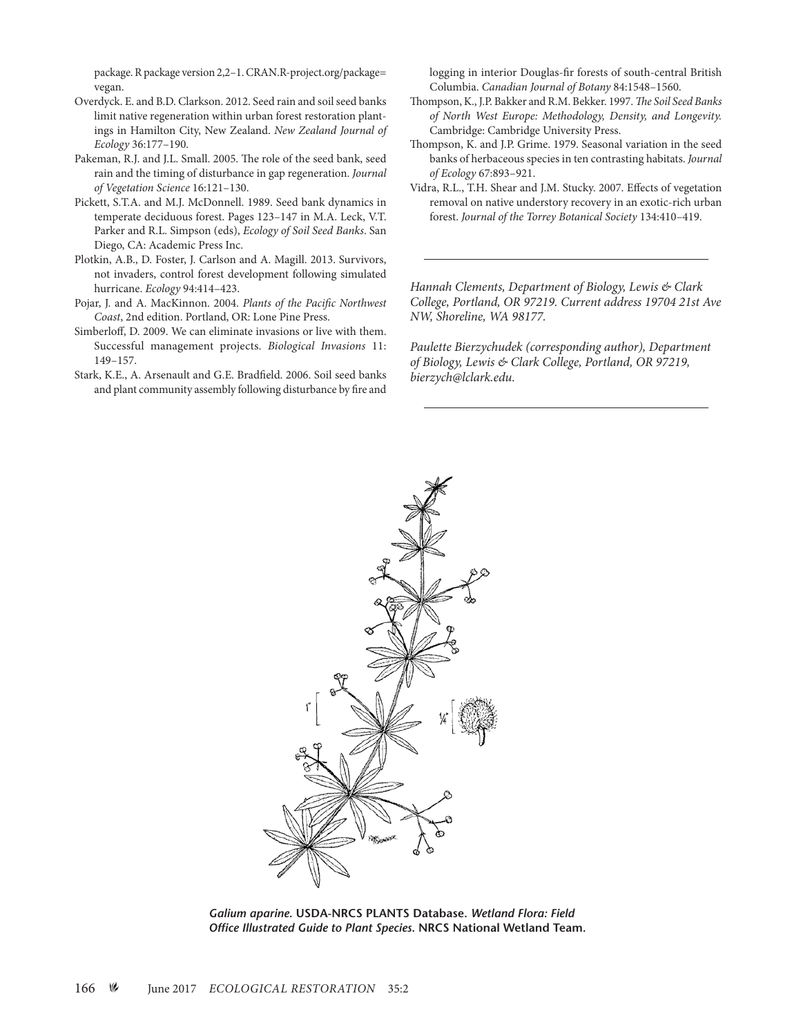package. R package version 2,2–1. CRAN.R-project.org/package= vegan.

- Overdyck. E. and B.D. Clarkson. 2012. Seed rain and soil seed banks limit native regeneration within urban forest restoration plantings in Hamilton City, New Zealand. *New Zealand Journal of Ecology* 36:177–190.
- Pakeman, R.J. and J.L. Small. 2005. The role of the seed bank, seed rain and the timing of disturbance in gap regeneration. *Journal of Vegetation Science* 16:121–130.
- Pickett, S.T.A. and M.J. McDonnell. 1989. Seed bank dynamics in temperate deciduous forest. Pages 123–147 in M.A. Leck, V.T. Parker and R.L. Simpson (eds), *Ecology of Soil Seed Banks*. San Diego, CA: Academic Press Inc.
- Plotkin, A.B., D. Foster, J. Carlson and A. Magill. 2013. Survivors, not invaders, control forest development following simulated hurricane. *Ecology* 94:414–423.
- Pojar, J. and A. MacKinnon. 2004. *Plants of the Pacific Northwest Coast*, 2nd edition. Portland, OR: Lone Pine Press.
- Simberloff, D. 2009. We can eliminate invasions or live with them. Successful management projects. *Biological Invasions* 11: 149–157.
- Stark, K.E., A. Arsenault and G.E. Bradfield. 2006. Soil seed banks and plant community assembly following disturbance by fire and

logging in interior Douglas-fir forests of south-central British Columbia. *Canadian Journal of Botany* 84:1548–1560.

- Thompson, K., J.P. Bakker and R.M. Bekker. 1997. *The Soil Seed Banks of North West Europe: Methodology, Density, and Longevity.*  Cambridge: Cambridge University Press.
- Thompson, K. and J.P. Grime. 1979. Seasonal variation in the seed banks of herbaceous species in ten contrasting habitats. *Journal of Ecology* 67:893–921.
- Vidra, R.L., T.H. Shear and J.M. Stucky. 2007. Effects of vegetation removal on native understory recovery in an exotic-rich urban forest. *Journal of the Torrey Botanical Society* 134:410–419.

*Hannah Clements, Department of Biology, Lewis & Clark College, Portland, OR 97219. Current address 19704 21st Ave NW, Shoreline, WA 98177.* 

*Paulette Bierzychudek (corresponding author), Department of Biology, Lewis & Clark College, Portland, OR 97219, bierzych@lclark.edu.*



*Galium aparine***. USDA-NRCS PLANTS Database.** *Wetland Flora: Field Office Illustrated Guide to Plant Species***. NRCS National Wetland Team.**